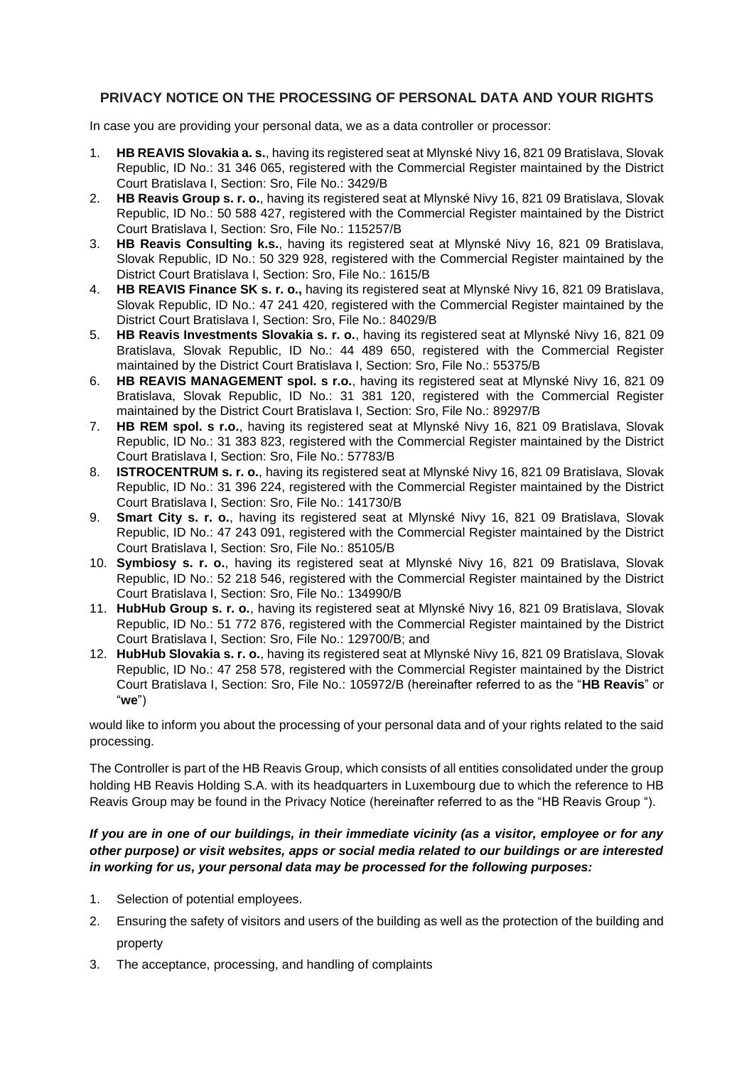## **PRIVACY NOTICE ON THE PROCESSING OF PERSONAL DATA AND YOUR RIGHTS**

In case you are providing your personal data, we as a data controller or processor:

- 1. **HB REAVIS Slovakia a. s.**, having its registered seat at Mlynské Nivy 16, 821 09 Bratislava, Slovak Republic, ID No.: 31 346 065, registered with the Commercial Register maintained by the District Court Bratislava I, Section: Sro, File No.: 3429/B
- 2. **HB Reavis Group s. r. o.**, having its registered seat at Mlynské Nivy 16, 821 09 Bratislava, Slovak Republic, ID No.: 50 588 427, registered with the Commercial Register maintained by the District Court Bratislava I, Section: Sro, File No.: 115257/B
- 3. **HB Reavis Consulting k.s.**, having its registered seat at Mlynské Nivy 16, 821 09 Bratislava, Slovak Republic, ID No.: 50 329 928, registered with the Commercial Register maintained by the District Court Bratislava I, Section: Sro, File No.: 1615/B
- 4. **HB REAVIS Finance SK s. r. o.,** having its registered seat at Mlynské Nivy 16, 821 09 Bratislava, Slovak Republic, ID No.: 47 241 420, registered with the Commercial Register maintained by the District Court Bratislava I, Section: Sro, File No.: 84029/B
- 5. **HB Reavis Investments Slovakia s. r. o.**, having its registered seat at Mlynské Nivy 16, 821 09 Bratislava, Slovak Republic, ID No.: 44 489 650, registered with the Commercial Register maintained by the District Court Bratislava I, Section: Sro, File No.: 55375/B
- 6. **HB REAVIS MANAGEMENT spol. s r.o.**, having its registered seat at Mlynské Nivy 16, 821 09 Bratislava, Slovak Republic, ID No.: 31 381 120, registered with the Commercial Register maintained by the District Court Bratislava I, Section: Sro, File No.: 89297/B
- 7. **HB REM spol. s r.o.**, having its registered seat at Mlynské Nivy 16, 821 09 Bratislava, Slovak Republic, ID No.: 31 383 823, registered with the Commercial Register maintained by the District Court Bratislava I, Section: Sro, File No.: 57783/B
- 8. **ISTROCENTRUM s. r. o.**, having its registered seat at Mlynské Nivy 16, 821 09 Bratislava, Slovak Republic, ID No.: 31 396 224, registered with the Commercial Register maintained by the District Court Bratislava I, Section: Sro, File No.: 141730/B
- 9. **Smart City s. r. o.**, having its registered seat at Mlynské Nivy 16, 821 09 Bratislava, Slovak Republic, ID No.: 47 243 091, registered with the Commercial Register maintained by the District Court Bratislava I, Section: Sro, File No.: 85105/B
- 10. **Symbiosy s. r. o.**, having its registered seat at Mlynské Nivy 16, 821 09 Bratislava, Slovak Republic, ID No.: 52 218 546, registered with the Commercial Register maintained by the District Court Bratislava I, Section: Sro, File No.: 134990/B
- 11. **HubHub Group s. r. o.**, having its registered seat at Mlynské Nivy 16, 821 09 Bratislava, Slovak Republic, ID No.: 51 772 876, registered with the Commercial Register maintained by the District Court Bratislava I, Section: Sro, File No.: 129700/B; and
- 12. **HubHub Slovakia s. r. o.**, having its registered seat at Mlynské Nivy 16, 821 09 Bratislava, Slovak Republic, ID No.: 47 258 578, registered with the Commercial Register maintained by the District Court Bratislava I, Section: Sro, File No.: 105972/B (hereinafter referred to as the "**HB Reavis**" or "**we**")

would like to inform you about the processing of your personal data and of your rights related to the said processing.

The Controller is part of the HB Reavis Group, which consists of all entities consolidated under the group holding HB Reavis Holding S.A. with its headquarters in Luxembourg due to which the reference to HB Reavis Group may be found in the Privacy Notice (hereinafter referred to as the "HB Reavis Group ").

## *If you are in one of our buildings, in their immediate vicinity (as a visitor, employee or for any other purpose) or visit websites, apps or social media related to our buildings or are interested in working for us, your personal data may be processed for the following purposes:*

- 1. Selection of potential employees.
- 2. Ensuring the safety of visitors and users of the building as well as the protection of the building and property
- 3. The acceptance, processing, and handling of complaints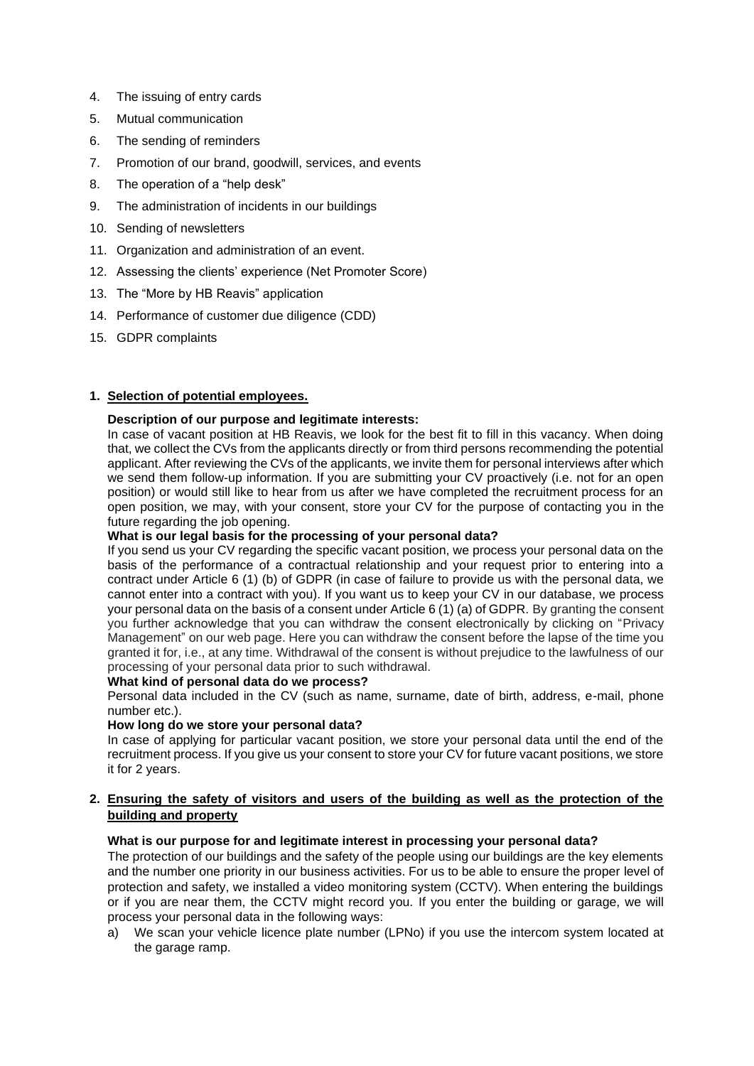- 4. The issuing of entry cards
- 5. Mutual communication
- 6. The sending of reminders
- 7. Promotion of our brand, goodwill, services, and events
- 8. The operation of a "help desk"
- 9. The administration of incidents in our buildings
- 10. Sending of newsletters
- 11. Organization and administration of an event.
- 12. Assessing the clients' experience (Net Promoter Score)
- 13. The "More by HB Reavis" application
- 14. Performance of customer due diligence (CDD)
- 15. GDPR complaints

### **1. Selection of potential employees.**

### **Description of our purpose and legitimate interests:**

In case of vacant position at HB Reavis, we look for the best fit to fill in this vacancy. When doing that, we collect the CVs from the applicants directly or from third persons recommending the potential applicant. After reviewing the CVs of the applicants, we invite them for personal interviews after which we send them follow-up information. If you are submitting your CV proactively (i.e. not for an open position) or would still like to hear from us after we have completed the recruitment process for an open position, we may, with your consent, store your CV for the purpose of contacting you in the future regarding the job opening.

### **What is our legal basis for the processing of your personal data?**

If you send us your CV regarding the specific vacant position, we process your personal data on the basis of the performance of a contractual relationship and your request prior to entering into a contract under Article 6 (1) (b) of GDPR (in case of failure to provide us with the personal data, we cannot enter into a contract with you). If you want us to keep your CV in our database, we process your personal data on the basis of a consent under Article 6 (1) (a) of GDPR. By granting the consent you further acknowledge that you can withdraw the consent electronically by clicking on "Privacy Management" on our web page. Here you can withdraw the consent before the lapse of the time you granted it for, i.e., at any time. Withdrawal of the consent is without prejudice to the lawfulness of our processing of your personal data prior to such withdrawal.

### **What kind of personal data do we process?**

Personal data included in the CV (such as name, surname, date of birth, address, e-mail, phone number etc.).

#### **How long do we store your personal data?**

In case of applying for particular vacant position, we store your personal data until the end of the recruitment process. If you give us your consent to store your CV for future vacant positions, we store it for 2 years.

### **2. Ensuring the safety of visitors and users of the building as well as the protection of the building and property**

### **What is our purpose for and legitimate interest in processing your personal data?**

The protection of our buildings and the safety of the people using our buildings are the key elements and the number one priority in our business activities. For us to be able to ensure the proper level of protection and safety, we installed a video monitoring system (CCTV). When entering the buildings or if you are near them, the CCTV might record you. If you enter the building or garage, we will process your personal data in the following ways:

a) We scan your vehicle licence plate number (LPNo) if you use the intercom system located at the garage ramp.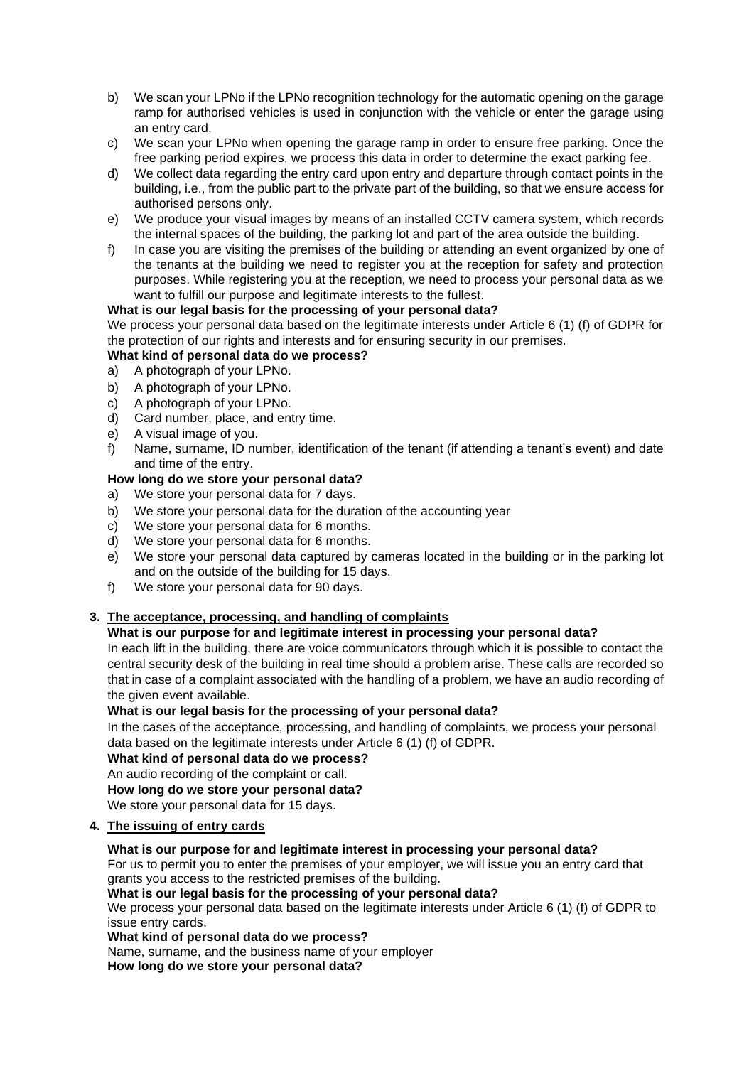- b) We scan your LPNo if the LPNo recognition technology for the automatic opening on the garage ramp for authorised vehicles is used in conjunction with the vehicle or enter the garage using an entry card.
- c) We scan your LPNo when opening the garage ramp in order to ensure free parking. Once the free parking period expires, we process this data in order to determine the exact parking fee.
- d) We collect data regarding the entry card upon entry and departure through contact points in the building, i.e., from the public part to the private part of the building, so that we ensure access for authorised persons only.
- e) We produce your visual images by means of an installed CCTV camera system, which records the internal spaces of the building, the parking lot and part of the area outside the building.
- f) In case you are visiting the premises of the building or attending an event organized by one of the tenants at the building we need to register you at the reception for safety and protection purposes. While registering you at the reception, we need to process your personal data as we want to fulfill our purpose and legitimate interests to the fullest.

## **What is our legal basis for the processing of your personal data?**

We process your personal data based on the legitimate interests under Article 6 (1) (f) of GDPR for the protection of our rights and interests and for ensuring security in our premises.

### **What kind of personal data do we process?**

- a) A photograph of your LPNo.
- b) A photograph of your LPNo.
- c) A photograph of your LPNo.
- d) Card number, place, and entry time.
- e) A visual image of you.
- f) Name, surname, ID number, identification of the tenant (if attending a tenant's event) and date and time of the entry.

## **How long do we store your personal data?**

- a) We store your personal data for 7 days.
- b) We store your personal data for the duration of the accounting year
- c) We store your personal data for 6 months.
- d) We store your personal data for 6 months.
- e) We store your personal data captured by cameras located in the building or in the parking lot and on the outside of the building for 15 days.
- f) We store your personal data for 90 days.

### **3. The acceptance, processing, and handling of complaints**

### **What is our purpose for and legitimate interest in processing your personal data?**

In each lift in the building, there are voice communicators through which it is possible to contact the central security desk of the building in real time should a problem arise. These calls are recorded so that in case of a complaint associated with the handling of a problem, we have an audio recording of the given event available.

### **What is our legal basis for the processing of your personal data?**

In the cases of the acceptance, processing, and handling of complaints, we process your personal data based on the legitimate interests under Article 6 (1) (f) of GDPR.

**What kind of personal data do we process?**

### An audio recording of the complaint or call.

**How long do we store your personal data?**

We store your personal data for 15 days.

### **4. The issuing of entry cards**

## **What is our purpose for and legitimate interest in processing your personal data?**

For us to permit you to enter the premises of your employer, we will issue you an entry card that grants you access to the restricted premises of the building.

### **What is our legal basis for the processing of your personal data?**

We process your personal data based on the legitimate interests under Article 6 (1) (f) of GDPR to issue entry cards.

### **What kind of personal data do we process?**

Name, surname, and the business name of your employer

**How long do we store your personal data?**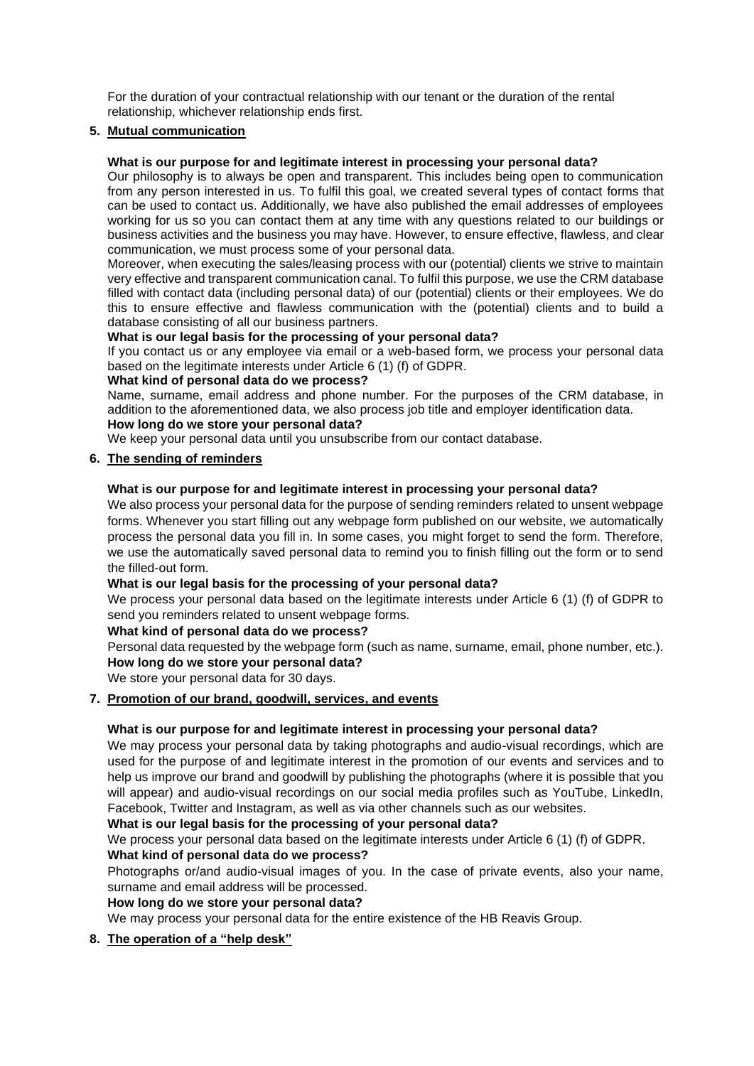For the duration of your contractual relationship with our tenant or the duration of the rental relationship, whichever relationship ends first.

## **5. Mutual communication**

### **What is our purpose for and legitimate interest in processing your personal data?**

Our philosophy is to always be open and transparent. This includes being open to communication from any person interested in us. To fulfil this goal, we created several types of contact forms that can be used to contact us. Additionally, we have also published the email addresses of employees working for us so you can contact them at any time with any questions related to our buildings or business activities and the business you may have. However, to ensure effective, flawless, and clear communication, we must process some of your personal data.

Moreover, when executing the sales/leasing process with our (potential) clients we strive to maintain very effective and transparent communication canal. To fulfil this purpose, we use the CRM database filled with contact data (including personal data) of our (potential) clients or their employees. We do this to ensure effective and flawless communication with the (potential) clients and to build a database consisting of all our business partners.

### **What is our legal basis for the processing of your personal data?**

If you contact us or any employee via email or a web-based form, we process your personal data based on the legitimate interests under Article 6 (1) (f) of GDPR.

### **What kind of personal data do we process?**

Name, surname, email address and phone number. For the purposes of the CRM database, in addition to the aforementioned data, we also process job title and employer identification data.

#### **How long do we store your personal data?** We keep your personal data until you unsubscribe from our contact database.

### **6. The sending of reminders**

### **What is our purpose for and legitimate interest in processing your personal data?**

We also process your personal data for the purpose of sending reminders related to unsent webpage forms. Whenever you start filling out any webpage form published on our website, we automatically process the personal data you fill in. In some cases, you might forget to send the form. Therefore, we use the automatically saved personal data to remind you to finish filling out the form or to send the filled-out form.

#### **What is our legal basis for the processing of your personal data?**

We process your personal data based on the legitimate interests under Article 6 (1) (f) of GDPR to send you reminders related to unsent webpage forms.

#### **What kind of personal data do we process?**

Personal data requested by the webpage form (such as name, surname, email, phone number, etc.). **How long do we store your personal data?**

We store your personal data for 30 days.

## **7. Promotion of our brand, goodwill, services, and events**

### **What is our purpose for and legitimate interest in processing your personal data?**

We may process your personal data by taking photographs and audio-visual recordings, which are used for the purpose of and legitimate interest in the promotion of our events and services and to help us improve our brand and goodwill by publishing the photographs (where it is possible that you will appear) and audio-visual recordings on our social media profiles such as YouTube, LinkedIn, Facebook, Twitter and Instagram, as well as via other channels such as our websites.

### **What is our legal basis for the processing of your personal data?**

We process your personal data based on the legitimate interests under Article 6 (1) (f) of GDPR. **What kind of personal data do we process?**

Photographs or/and audio-visual images of you. In the case of private events, also your name, surname and email address will be processed.

### **How long do we store your personal data?**

We may process your personal data for the entire existence of the HB Reavis Group.

## **8. The operation of a "help desk"**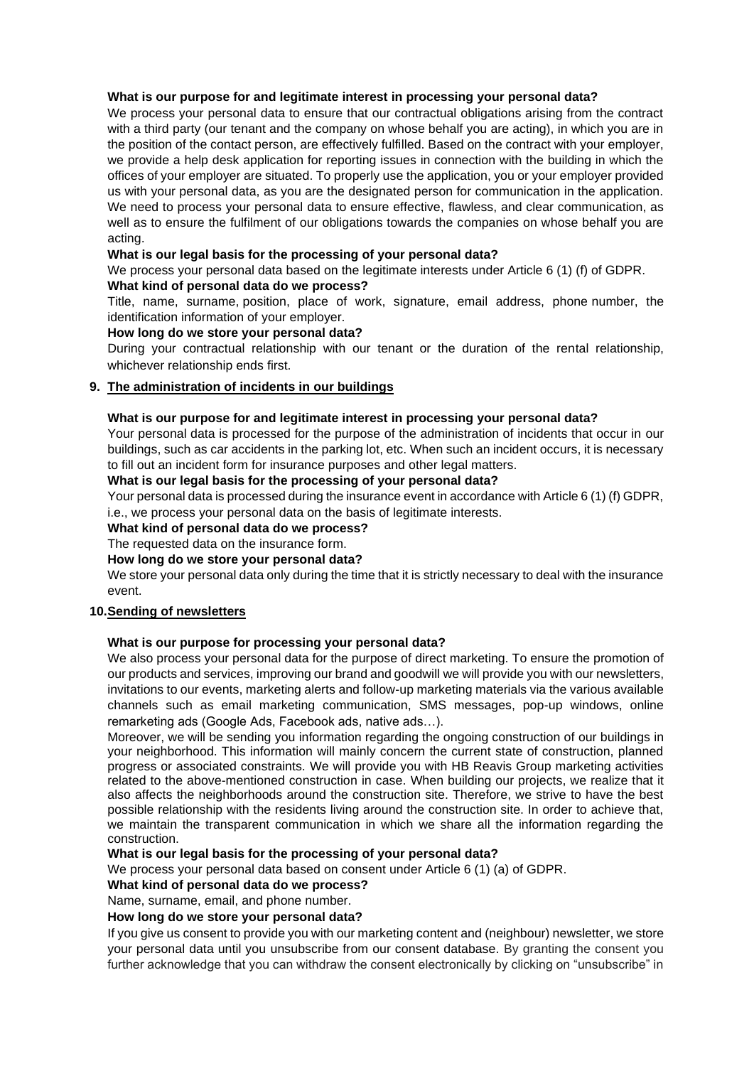### **What is our purpose for and legitimate interest in processing your personal data?**

We process your personal data to ensure that our contractual obligations arising from the contract with a third party (our tenant and the company on whose behalf you are acting), in which you are in the position of the contact person, are effectively fulfilled. Based on the contract with your employer, we provide a help desk application for reporting issues in connection with the building in which the offices of your employer are situated. To properly use the application, you or your employer provided us with your personal data, as you are the designated person for communication in the application. We need to process your personal data to ensure effective, flawless, and clear communication, as well as to ensure the fulfilment of our obligations towards the companies on whose behalf you are acting.

### **What is our legal basis for the processing of your personal data?**

We process your personal data based on the legitimate interests under Article 6 (1) (f) of GDPR. **What kind of personal data do we process?**

Title, name, surname, position, place of work, signature, email address, phone number, the identification information of your employer.

### **How long do we store your personal data?**

During your contractual relationship with our tenant or the duration of the rental relationship, whichever relationship ends first.

### **9. The administration of incidents in our buildings**

#### **What is our purpose for and legitimate interest in processing your personal data?**

Your personal data is processed for the purpose of the administration of incidents that occur in our buildings, such as car accidents in the parking lot, etc. When such an incident occurs, it is necessary to fill out an incident form for insurance purposes and other legal matters.

#### **What is our legal basis for the processing of your personal data?**

Your personal data is processed during the insurance event in accordance with Article 6 (1) (f) GDPR, i.e., we process your personal data on the basis of legitimate interests.

#### **What kind of personal data do we process?**

The requested data on the insurance form.

#### **How long do we store your personal data?**

We store your personal data only during the time that it is strictly necessary to deal with the insurance event.

#### **10.Sending of newsletters**

#### **What is our purpose for processing your personal data?**

We also process your personal data for the purpose of direct marketing. To ensure the promotion of our products and services, improving our brand and goodwill we will provide you with our newsletters, invitations to our events, marketing alerts and follow-up marketing materials via the various available channels such as email marketing communication, SMS messages, pop-up windows, online remarketing ads (Google Ads, Facebook ads, native ads…).

Moreover, we will be sending you information regarding the ongoing construction of our buildings in your neighborhood. This information will mainly concern the current state of construction, planned progress or associated constraints. We will provide you with HB Reavis Group marketing activities related to the above-mentioned construction in case. When building our projects, we realize that it also affects the neighborhoods around the construction site. Therefore, we strive to have the best possible relationship with the residents living around the construction site. In order to achieve that, we maintain the transparent communication in which we share all the information regarding the construction.

#### **What is our legal basis for the processing of your personal data?**

We process your personal data based on consent under Article 6 (1) (a) of GDPR.

#### **What kind of personal data do we process?**

Name, surname, email, and phone number.

#### **How long do we store your personal data?**

If you give us consent to provide you with our marketing content and (neighbour) newsletter, we store your personal data until you unsubscribe from our consent database. By granting the consent you further acknowledge that you can withdraw the consent electronically by clicking on "unsubscribe" in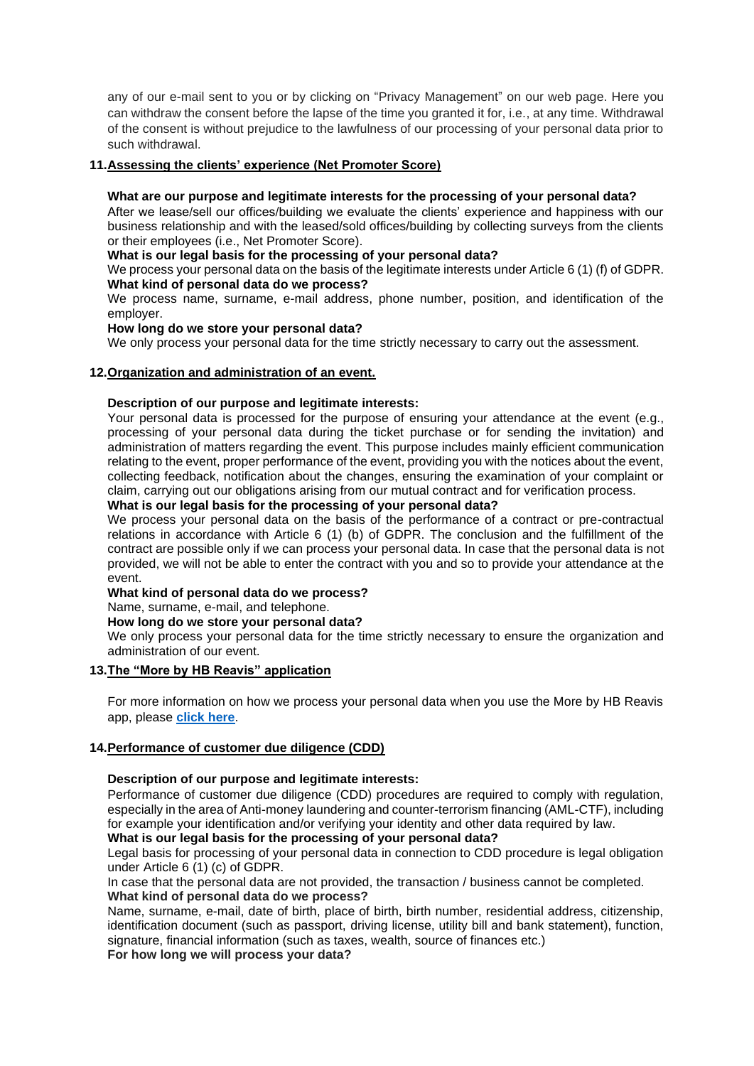any of our e-mail sent to you or by clicking on "Privacy Management" on our web page. Here you can withdraw the consent before the lapse of the time you granted it for, i.e., at any time. Withdrawal of the consent is without prejudice to the lawfulness of our processing of your personal data prior to such withdrawal.

### **11.Assessing the clients' experience (Net Promoter Score)**

#### **What are our purpose and legitimate interests for the processing of your personal data?**

After we lease/sell our offices/building we evaluate the clients' experience and happiness with our business relationship and with the leased/sold offices/building by collecting surveys from the clients or their employees (i.e., Net Promoter Score).

### **What is our legal basis for the processing of your personal data?**

We process your personal data on the basis of the legitimate interests under Article 6 (1) (f) of GDPR. **What kind of personal data do we process?**

We process name, surname, e-mail address, phone number, position, and identification of the employer.

#### **How long do we store your personal data?**

We only process your personal data for the time strictly necessary to carry out the assessment.

### **12.Organization and administration of an event.**

### **Description of our purpose and legitimate interests:**

Your personal data is processed for the purpose of ensuring your attendance at the event (e.g., processing of your personal data during the ticket purchase or for sending the invitation) and administration of matters regarding the event. This purpose includes mainly efficient communication relating to the event, proper performance of the event, providing you with the notices about the event, collecting feedback, notification about the changes, ensuring the examination of your complaint or claim, carrying out our obligations arising from our mutual contract and for verification process.

### **What is our legal basis for the processing of your personal data?**

We process your personal data on the basis of the performance of a contract or pre-contractual relations in accordance with Article 6 (1) (b) of GDPR. The conclusion and the fulfillment of the contract are possible only if we can process your personal data. In case that the personal data is not provided, we will not be able to enter the contract with you and so to provide your attendance at the event.

#### **What kind of personal data do we process?**

Name, surname, e-mail, and telephone.

#### **How long do we store your personal data?**

We only process your personal data for the time strictly necessary to ensure the organization and administration of our event.

#### **13.The "More by HB Reavis" application**

For more information on how we process your personal data when you use the More by HB Reavis app, please **[click here](https://hbreavis.com/wp-content/uploads/2022/04/GDPR_PrivacyNotice_AllActivities_MorebyHBReavis_ENG_20220323.pdf)**.

### **14.Performance of customer due diligence (CDD)**

### **Description of our purpose and legitimate interests:**

Performance of customer due diligence (CDD) procedures are required to comply with regulation, especially in the area of Anti-money laundering and counter-terrorism financing (AML-CTF), including for example your identification and/or verifying your identity and other data required by law.

# **What is our legal basis for the processing of your personal data?**

Legal basis for processing of your personal data in connection to CDD procedure is legal obligation under Article 6 (1) (c) of GDPR.

In case that the personal data are not provided, the transaction / business cannot be completed. **What kind of personal data do we process?**

Name, surname, e-mail, date of birth, place of birth, birth number, residential address, citizenship, identification document (such as passport, driving license, utility bill and bank statement), function, signature, financial information (such as taxes, wealth, source of finances etc.)

**For how long we will process your data?**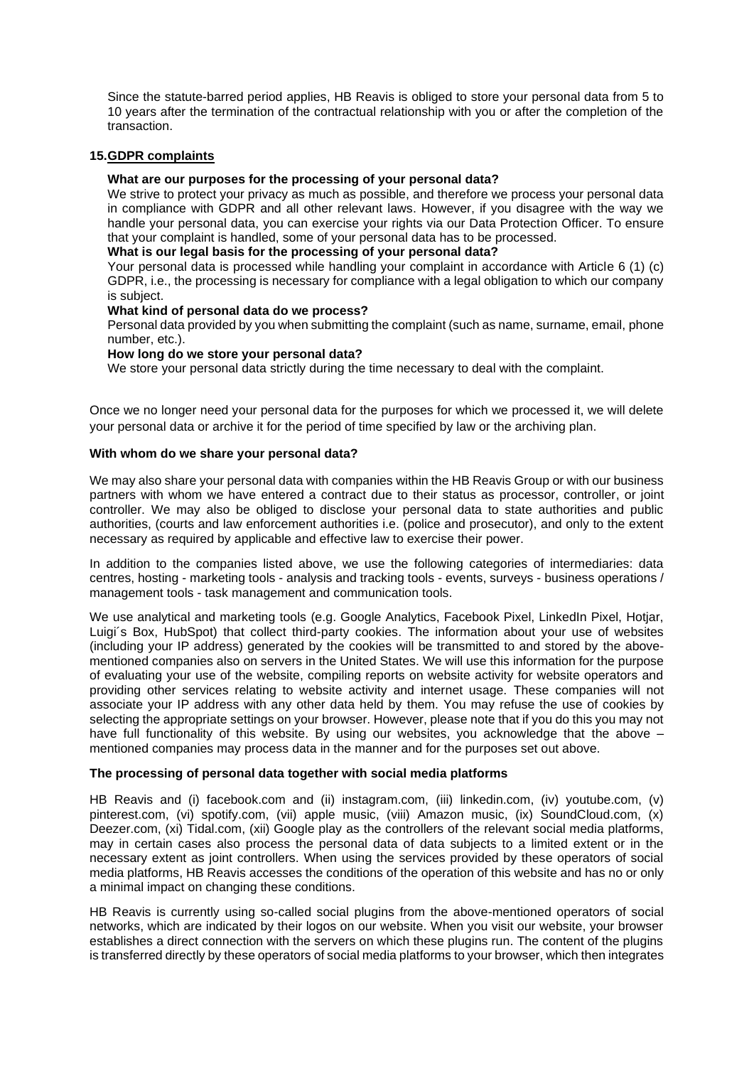Since the statute-barred period applies, HB Reavis is obliged to store your personal data from 5 to 10 years after the termination of the contractual relationship with you or after the completion of the transaction.

#### **15.GDPR complaints**

#### **What are our purposes for the processing of your personal data?**

We strive to protect your privacy as much as possible, and therefore we process your personal data in compliance with GDPR and all other relevant laws. However, if you disagree with the way we handle your personal data, you can exercise your rights via our Data Protection Officer. To ensure that your complaint is handled, some of your personal data has to be processed.

#### **What is our legal basis for the processing of your personal data?**

Your personal data is processed while handling your complaint in accordance with Article 6 (1) (c) GDPR, i.e., the processing is necessary for compliance with a legal obligation to which our company is subject.

#### **What kind of personal data do we process?**

Personal data provided by you when submitting the complaint (such as name, surname, email, phone number, etc.).

#### **How long do we store your personal data?**

We store your personal data strictly during the time necessary to deal with the complaint.

Once we no longer need your personal data for the purposes for which we processed it, we will delete your personal data or archive it for the period of time specified by law or the archiving plan.

#### **With whom do we share your personal data?**

We may also share your personal data with companies within the HB Reavis Group or with our business partners with whom we have entered a contract due to their status as processor, controller, or joint controller. We may also be obliged to disclose your personal data to state authorities and public authorities, (courts and law enforcement authorities i.e. (police and prosecutor), and only to the extent necessary as required by applicable and effective law to exercise their power.

In addition to the companies listed above, we use the following categories of intermediaries: data centres, hosting - marketing tools - analysis and tracking tools - events, surveys - business operations / management tools - task management and communication tools.

We use analytical and marketing tools (e.g. Google Analytics, Facebook Pixel, LinkedIn Pixel, Hotiar, Luigi´s Box, HubSpot) that collect third-party cookies. The information about your use of websites (including your IP address) generated by the cookies will be transmitted to and stored by the abovementioned companies also on servers in the United States. We will use this information for the purpose of evaluating your use of the website, compiling reports on website activity for website operators and providing other services relating to website activity and internet usage. These companies will not associate your IP address with any other data held by them. You may refuse the use of cookies by selecting the appropriate settings on your browser. However, please note that if you do this you may not have full functionality of this website. By using our websites, you acknowledge that the above – mentioned companies may process data in the manner and for the purposes set out above.

#### **The processing of personal data together with social media platforms**

HB Reavis and (i) facebook.com and (ii) instagram.com, (iii) linkedin.com, (iv) youtube.com, (v) pinterest.com, (vi) spotify.com, (vii) apple music, (viii) Amazon music, (ix) SoundCloud.com, (x) Deezer.com, (xi) Tidal.com, (xii) Google play as the controllers of the relevant social media platforms, may in certain cases also process the personal data of data subjects to a limited extent or in the necessary extent as joint controllers. When using the services provided by these operators of social media platforms, HB Reavis accesses the conditions of the operation of this website and has no or only a minimal impact on changing these conditions.

HB Reavis is currently using so-called social plugins from the above-mentioned operators of social networks, which are indicated by their logos on our website. When you visit our website, your browser establishes a direct connection with the servers on which these plugins run. The content of the plugins is transferred directly by these operators of social media platforms to your browser, which then integrates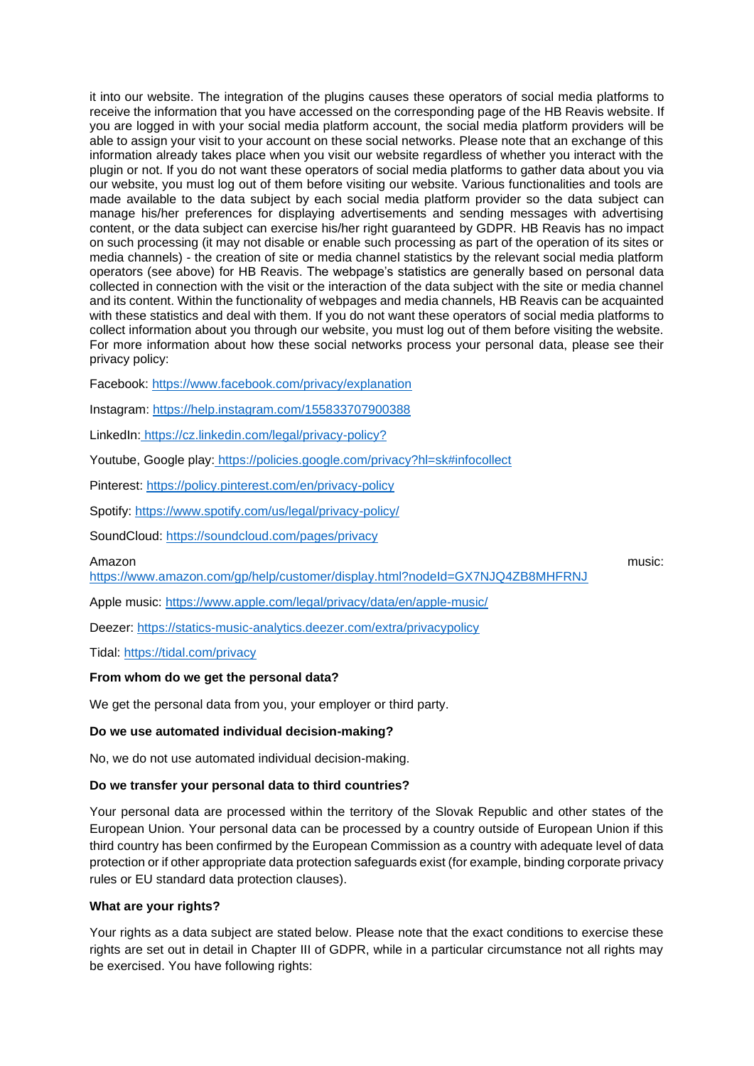it into our website. The integration of the plugins causes these operators of social media platforms to receive the information that you have accessed on the corresponding page of the HB Reavis website. If you are logged in with your social media platform account, the social media platform providers will be able to assign your visit to your account on these social networks. Please note that an exchange of this information already takes place when you visit our website regardless of whether you interact with the plugin or not. If you do not want these operators of social media platforms to gather data about you via our website, you must log out of them before visiting our website. Various functionalities and tools are made available to the data subject by each social media platform provider so the data subject can manage his/her preferences for displaying advertisements and sending messages with advertising content, or the data subject can exercise his/her right guaranteed by GDPR. HB Reavis has no impact on such processing (it may not disable or enable such processing as part of the operation of its sites or media channels) - the creation of site or media channel statistics by the relevant social media platform operators (see above) for HB Reavis. The webpage's statistics are generally based on personal data collected in connection with the visit or the interaction of the data subject with the site or media channel and its content. Within the functionality of webpages and media channels, HB Reavis can be acquainted with these statistics and deal with them. If you do not want these operators of social media platforms to collect information about you through our website, you must log out of them before visiting the website. For more information about how these social networks process your personal data, please see their privacy policy:

Facebook:<https://www.facebook.com/privacy/explanation>

Instagram:<https://help.instagram.com/155833707900388>

LinkedIn: [https://cz.linkedin.com/legal/privacy-policy?](https://cz.linkedin.com/legal/privacy-policy)

Youtube, Google play: <https://policies.google.com/privacy?hl=sk#infocollect>

Pinterest:<https://policy.pinterest.com/en/privacy-policy>

Spotify: <https://www.spotify.com/us/legal/privacy-policy/>

SoundCloud:<https://soundcloud.com/pages/privacy>

Amazon music:

<https://www.amazon.com/gp/help/customer/display.html?nodeId=GX7NJQ4ZB8MHFRNJ>

Apple music:<https://www.apple.com/legal/privacy/data/en/apple-music/>

Deezer:<https://statics-music-analytics.deezer.com/extra/privacypolicy>

Tidal:<https://tidal.com/privacy>

#### **From whom do we get the personal data?**

We get the personal data from you, your employer or third party.

#### **Do we use automated individual decision-making?**

No, we do not use automated individual decision-making.

### **Do we transfer your personal data to third countries?**

Your personal data are processed within the territory of the Slovak Republic and other states of the European Union. Your personal data can be processed by a country outside of European Union if this third country has been confirmed by the European Commission as a country with adequate level of data protection or if other appropriate data protection safeguards exist (for example, binding corporate privacy rules or EU standard data protection clauses).

#### **What are your rights?**

Your rights as a data subject are stated below. Please note that the exact conditions to exercise these rights are set out in detail in Chapter III of GDPR, while in a particular circumstance not all rights may be exercised. You have following rights: